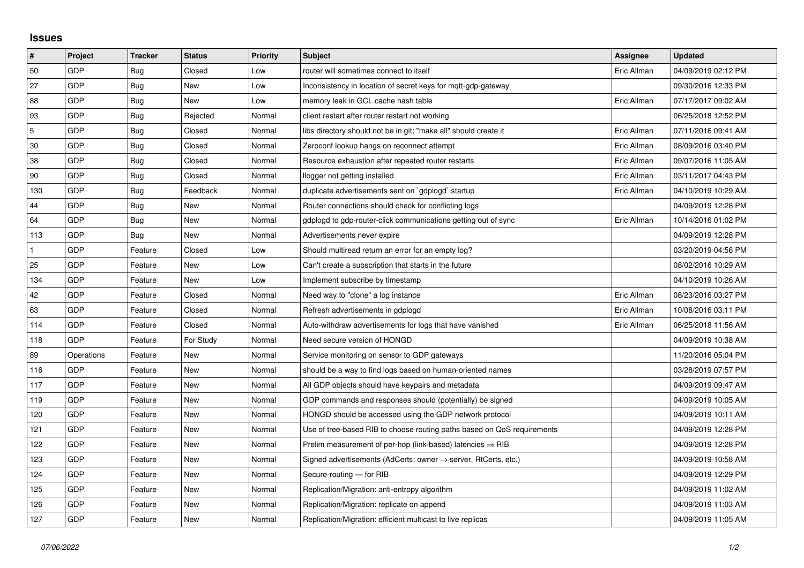## **Issues**

| $\sharp$       | Project    | <b>Tracker</b> | <b>Status</b> | <b>Priority</b> | <b>Subject</b>                                                             | Assignee    | Updated             |
|----------------|------------|----------------|---------------|-----------------|----------------------------------------------------------------------------|-------------|---------------------|
| 50             | GDP        | Bug            | Closed        | Low             | router will sometimes connect to itself                                    | Eric Allman | 04/09/2019 02:12 PM |
| 27             | GDP        | Bug            | New           | Low             | Inconsistency in location of secret keys for mqtt-gdp-gateway              |             | 09/30/2016 12:33 PM |
| 88             | GDP        | Bug            | New           | Low             | memory leak in GCL cache hash table                                        | Eric Allman | 07/17/2017 09:02 AM |
| 93             | GDP        | Bug            | Rejected      | Normal          | client restart after router restart not working                            |             | 06/25/2018 12:52 PM |
| $\overline{5}$ | GDP        | Bug            | Closed        | Normal          | libs directory should not be in git; "make all" should create it           | Eric Allman | 07/11/2016 09:41 AM |
| 30             | GDP        | Bug            | Closed        | Normal          | Zeroconf lookup hangs on reconnect attempt                                 | Eric Allman | 08/09/2016 03:40 PM |
| 38             | GDP        | Bug            | Closed        | Normal          | Resource exhaustion after repeated router restarts                         | Eric Allman | 09/07/2016 11:05 AM |
| 90             | GDP        | Bug            | Closed        | Normal          | llogger not getting installed                                              | Eric Allman | 03/11/2017 04:43 PM |
| 130            | GDP        | Bug            | Feedback      | Normal          | duplicate advertisements sent on `gdplogd` startup                         | Eric Allman | 04/10/2019 10:29 AM |
| 44             | GDP        | Bug            | <b>New</b>    | Normal          | Router connections should check for conflicting logs                       |             | 04/09/2019 12:28 PM |
| 64             | GDP        | Bug            | <b>New</b>    | Normal          | gdplogd to gdp-router-click communications getting out of sync             | Eric Allman | 10/14/2016 01:02 PM |
| 113            | GDP        | Bug            | New           | Normal          | Advertisements never expire                                                |             | 04/09/2019 12:28 PM |
|                | GDP        | Feature        | Closed        | Low             | Should multiread return an error for an empty log?                         |             | 03/20/2019 04:56 PM |
| 25             | GDP        | Feature        | New           | Low             | Can't create a subscription that starts in the future                      |             | 08/02/2016 10:29 AM |
| 134            | GDP        | Feature        | New           | Low             | Implement subscribe by timestamp                                           |             | 04/10/2019 10:26 AM |
| 42             | GDP        | Feature        | Closed        | Normal          | Need way to "clone" a log instance                                         | Eric Allman | 08/23/2016 03:27 PM |
| 63             | GDP        | Feature        | Closed        | Normal          | Refresh advertisements in gdplogd                                          | Eric Allman | 10/08/2016 03:11 PM |
| 114            | GDP        | Feature        | Closed        | Normal          | Auto-withdraw advertisements for logs that have vanished                   | Eric Allman | 06/25/2018 11:56 AM |
| 118            | GDP        | Feature        | For Study     | Normal          | Need secure version of HONGD                                               |             | 04/09/2019 10:38 AM |
| 89             | Operations | Feature        | New           | Normal          | Service monitoring on sensor to GDP gateways                               |             | 11/20/2016 05:04 PM |
| 116            | GDP        | Feature        | New           | Normal          | should be a way to find logs based on human-oriented names                 |             | 03/28/2019 07:57 PM |
| 117            | GDP        | Feature        | New           | Normal          | All GDP objects should have keypairs and metadata                          |             | 04/09/2019 09:47 AM |
| 119            | GDP        | Feature        | New           | Normal          | GDP commands and responses should (potentially) be signed                  |             | 04/09/2019 10:05 AM |
| 120            | GDP        | Feature        | New           | Normal          | HONGD should be accessed using the GDP network protocol                    |             | 04/09/2019 10:11 AM |
| 121            | GDP        | Feature        | New           | Normal          | Use of tree-based RIB to choose routing paths based on QoS requirements    |             | 04/09/2019 12:28 PM |
| 122            | GDP        | Feature        | New           | Normal          | Prelim measurement of per-hop (link-based) latencies $\Rightarrow$ RIB     |             | 04/09/2019 12:28 PM |
| 123            | <b>GDP</b> | Feature        | New           | Normal          | Signed advertisements (AdCerts: owner $\rightarrow$ server, RtCerts, etc.) |             | 04/09/2019 10:58 AM |
| 124            | GDP        | Feature        | New           | Normal          | Secure-routing - for RIB                                                   |             | 04/09/2019 12:29 PM |
| 125            | GDP        | Feature        | New           | Normal          | Replication/Migration: anti-entropy algorithm                              |             | 04/09/2019 11:02 AM |
| 126            | GDP        | Feature        | New           | Normal          | Replication/Migration: replicate on append                                 |             | 04/09/2019 11:03 AM |
| 127            | GDP        | Feature        | New           | Normal          | Replication/Migration: efficient multicast to live replicas                |             | 04/09/2019 11:05 AM |